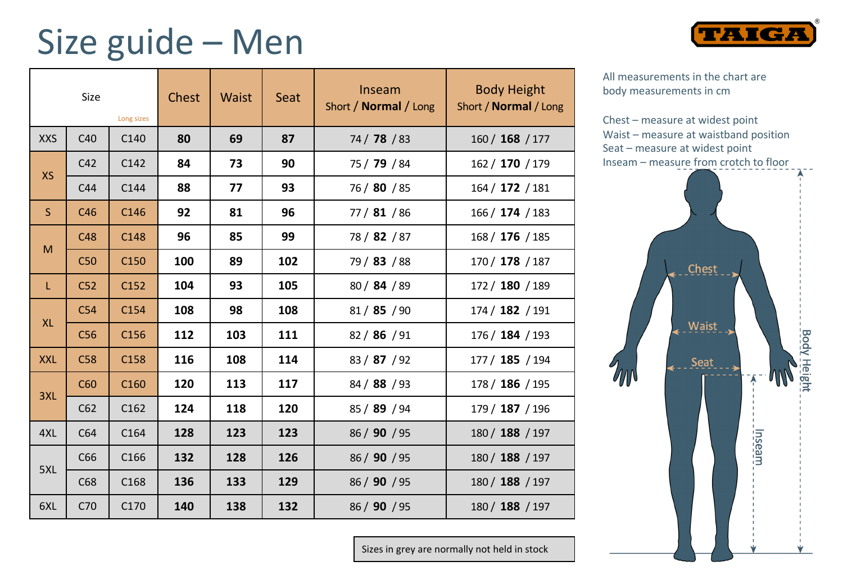## Size guide – Men

| Size<br>Long sizes |                 |                  | Chest | Waist | Seat | Inseam<br>Short / Normal / Long | <b>Body Height</b><br>Short / Normal / Long |
|--------------------|-----------------|------------------|-------|-------|------|---------------------------------|---------------------------------------------|
| <b>XXS</b>         | C40             | C140             | 80    | 69    | 87   | 74 / 78 / 83                    | 160 / 168 / 177                             |
| <b>XS</b>          | C42             | C142             | 84    | 73    | 90   | 75 / 79 / 84                    | 162 / 170 / 179                             |
|                    | C44             | C144             | 88    | 77    | 93   | 76 / 80 / 85                    | 164 / 172 / 181                             |
| <sub>S</sub>       | C46             | C146             | 92    | 81    | 96   | 77 / 81 / 86                    | 166 / 174 / 183                             |
| M                  | C48             | C148             | 96    | 85    | 99   | 78 / 82 / 87                    | 168 / 176 / 185                             |
|                    | C50             | C <sub>150</sub> | 100   | 89    | 102  | 79 / 83 / 88                    | 170 / 178 / 187                             |
| L                  | C <sub>52</sub> | C152             | 104   | 93    | 105  | 80 / 84 / 89                    | 172 / 180 / 189                             |
| <b>XL</b>          | C54             | C154             | 108   | 98    | 108  | 81/85/90                        | 174 / 182 / 191                             |
|                    | C <sub>56</sub> | C156             | 112   | 103   | 111  | 82 / 86 / 91                    | 176 / 184 / 193                             |
| <b>XXL</b>         | C58             | C158             | 116   | 108   | 114  | 83 / 87 / 92                    | 177 / 185 / 194                             |
| 3XL                | C60             | C <sub>160</sub> | 120   | 113   | 117  | 84 / 88 / 93                    | 178 / 186 / 195                             |
|                    | C62             | C162             | 124   | 118   | 120  | 85 / 89 / 94                    | 179 / 187 / 196                             |
| 4XL                | C64             | C <sub>164</sub> | 128   | 123   | 123  | 86 / 90 / 95                    | 180 / 188 / 197                             |
| 5XL                | C66             | C166             | 132   | 128   | 126  | 86 / 90 / 95                    | 180 / 188 / 197                             |
|                    | C68             | C <sub>168</sub> | 136   | 133   | 129  | 86 / 90 / 95                    | 180 / 188 / 197                             |
| 6XL                | C70             | C170             | 140   | 138   | 132  | 86 / 90 / 95                    | 180 / 188 / 197                             |

All measurements in the chart are body measurements in cm

Chest – measure at widest point Waist – measure at waistband position Seat – measure at widest point Inseam – measure from crotch to floor

**TAIGA** 



Sizes in grey are normally not held in stock